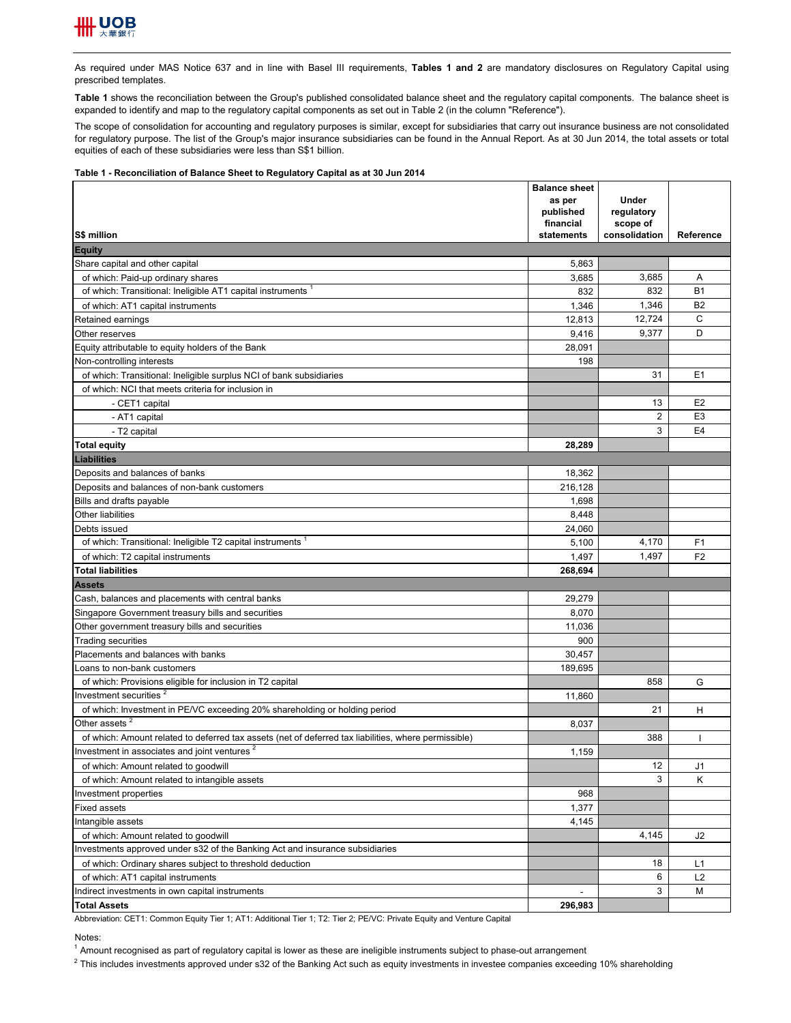

As required under MAS Notice 637 and in line with Basel III requirements, **Tables 1 and 2** are mandatory disclosures on Regulatory Capital using prescribed templates.

**Table 1** shows the reconciliation between the Group's published consolidated balance sheet and the regulatory capital components. The balance sheet is expanded to identify and map to the regulatory capital components as set out in Table 2 (in the column "Reference").

The scope of consolidation for accounting and regulatory purposes is similar, except for subsidiaries that carry out insurance business are not consolidated for regulatory purpose. The list of the Group's major insurance subsidiaries can be found in the Annual Report. As at 30 Jun 2014, the total assets or total equities of each of these subsidiaries were less than S\$1 billion.

## **Table 1 - Reconciliation of Balance Sheet to Regulatory Capital as at 30 Jun 2014**

|                                                                                                      | <b>Balance sheet</b> |               |                |
|------------------------------------------------------------------------------------------------------|----------------------|---------------|----------------|
|                                                                                                      | as per               | Under         |                |
|                                                                                                      | published            | regulatory    |                |
|                                                                                                      | financial            | scope of      |                |
| <b>S\$ million</b>                                                                                   | statements           | consolidation | Reference      |
| <b>Equity</b>                                                                                        |                      |               |                |
| Share capital and other capital                                                                      | 5,863                |               |                |
| of which: Paid-up ordinary shares                                                                    | 3,685                | 3,685         | Α              |
| of which: Transitional: Ineligible AT1 capital instruments                                           | 832                  | 832           | <b>B1</b>      |
| of which: AT1 capital instruments                                                                    | 1,346                | 1,346         | <b>B2</b>      |
| Retained earnings                                                                                    | 12,813               | 12,724        | C              |
| Other reserves                                                                                       | 9,416                | 9,377         | D              |
| Equity attributable to equity holders of the Bank                                                    | 28,091               |               |                |
| Non-controlling interests                                                                            | 198                  |               |                |
| of which: Transitional: Ineligible surplus NCI of bank subsidiaries                                  |                      | 31            | E <sub>1</sub> |
| of which: NCI that meets criteria for inclusion in                                                   |                      |               |                |
| - CET1 capital                                                                                       |                      | 13            | E <sub>2</sub> |
| - AT1 capital                                                                                        |                      | 2             | E <sub>3</sub> |
| - T2 capital                                                                                         |                      | 3             | E <sub>4</sub> |
|                                                                                                      | 28,289               |               |                |
| <b>Total equity</b>                                                                                  |                      |               |                |
| <b>Liabilities</b>                                                                                   |                      |               |                |
| Deposits and balances of banks                                                                       | 18,362               |               |                |
| Deposits and balances of non-bank customers                                                          | 216,128              |               |                |
| Bills and drafts payable                                                                             | 1,698                |               |                |
| Other liabilities                                                                                    | 8,448                |               |                |
| Debts issued                                                                                         | 24,060               |               |                |
| of which: Transitional: Ineligible T2 capital instruments <sup>1</sup>                               | 5,100                | 4,170         | F <sub>1</sub> |
| of which: T2 capital instruments                                                                     | 1,497                | 1,497         | F <sub>2</sub> |
| <b>Total liabilities</b>                                                                             | 268,694              |               |                |
| <b>Assets</b>                                                                                        |                      |               |                |
| Cash, balances and placements with central banks                                                     | 29,279               |               |                |
| Singapore Government treasury bills and securities                                                   | 8,070                |               |                |
| Other government treasury bills and securities                                                       | 11,036               |               |                |
| <b>Trading securities</b>                                                                            | 900                  |               |                |
| Placements and balances with banks                                                                   | 30,457               |               |                |
| Loans to non-bank customers                                                                          | 189,695              |               |                |
| of which: Provisions eligible for inclusion in T2 capital                                            |                      | 858           | G              |
| Investment securities <sup>2</sup>                                                                   | 11,860               |               |                |
| of which: Investment in PE/VC exceeding 20% shareholding or holding period                           |                      | 21            | н              |
| Other assets <sup>2</sup>                                                                            | 8,037                |               |                |
| of which: Amount related to deferred tax assets (net of deferred tax liabilities, where permissible) |                      | 388           |                |
| Investment in associates and joint ventures <sup>2</sup>                                             | 1,159                |               |                |
| of which: Amount related to goodwill                                                                 |                      | 12            | J1             |
| of which: Amount related to intangible assets                                                        |                      | 3             | Κ              |
| Investment properties                                                                                | 968                  |               |                |
| Fixed assets                                                                                         | 1,377                |               |                |
| Intangible assets                                                                                    | 4,145                |               |                |
| of which: Amount related to goodwill                                                                 |                      | 4,145         | J <sub>2</sub> |
| Investments approved under s32 of the Banking Act and insurance subsidiaries                         |                      |               |                |
|                                                                                                      |                      | 18            | L1             |
| of which: Ordinary shares subject to threshold deduction                                             |                      | 6             |                |
| of which: AT1 capital instruments<br>Indirect investments in own capital instruments                 |                      | 3             | L2<br>M        |
|                                                                                                      |                      |               |                |
| <b>Total Assets</b>                                                                                  | 296,983              |               |                |

Abbreviation: CET1: Common Equity Tier 1; AT1: Additional Tier 1; T2: Tier 2; PE/VC: Private Equity and Venture Capital

Notes:

<sup>1</sup> Amount recognised as part of regulatory capital is lower as these are ineligible instruments subject to phase-out arrangement

 $^2$  This includes investments approved under s32 of the Banking Act such as equity investments in investee companies exceeding 10% shareholding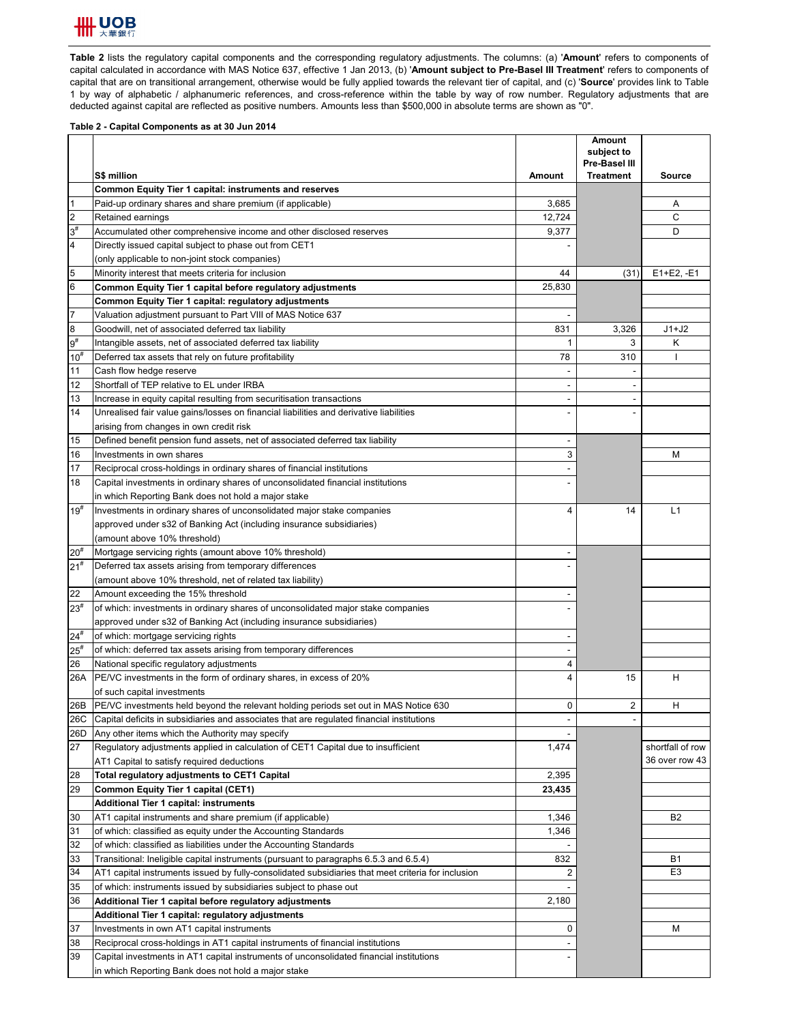

**Table 2** lists the regulatory capital components and the corresponding regulatory adjustments. The columns: (a) '**Amount**' refers to components of capital calculated in accordance with MAS Notice 637, effective 1 Jan 2013, (b) '**Amount subject to Pre-Basel III Treatment**' refers to components of capital that are on transitional arrangement, otherwise would be fully applied towards the relevant tier of capital, and (c) '**Source**' provides link to Table 1 by way of alphabetic / alphanumeric references, and cross-reference within the table by way of row number. Regulatory adjustments that are deducted against capital are reflected as positive numbers. Amounts less than \$500,000 in absolute terms are shown as "0".

## **Table 2 - Capital Components as at 30 Jun 2014**

|                  | S\$ million                                                                                        | <b>Amount</b>  | Amount<br>subject to<br>Pre-Basel III<br><b>Treatment</b> | Source           |
|------------------|----------------------------------------------------------------------------------------------------|----------------|-----------------------------------------------------------|------------------|
|                  | <b>Common Equity Tier 1 capital: instruments and reserves</b>                                      |                |                                                           |                  |
| $\mathbf{1}$     | Paid-up ordinary shares and share premium (if applicable)                                          | 3,685          |                                                           | Α                |
| $\overline{2}$   | Retained earnings                                                                                  | 12,724         |                                                           | С                |
| $3^{\sharp}$     | Accumulated other comprehensive income and other disclosed reserves                                | 9,377          |                                                           | D                |
| $\overline{4}$   | Directly issued capital subject to phase out from CET1                                             |                |                                                           |                  |
|                  | (only applicable to non-joint stock companies)                                                     |                |                                                           |                  |
| 5                | Minority interest that meets criteria for inclusion                                                | 44             | (31)                                                      | $E1+E2, -E1$     |
| 6                | Common Equity Tier 1 capital before regulatory adjustments                                         | 25,830         |                                                           |                  |
|                  | Common Equity Tier 1 capital: regulatory adjustments                                               |                |                                                           |                  |
| $\overline{7}$   | Valuation adjustment pursuant to Part VIII of MAS Notice 637                                       |                |                                                           |                  |
| 8                | Goodwill, net of associated deferred tax liability                                                 | 831            | 3,326                                                     | $J1+J2$          |
| $9^{\sharp}$     | Intangible assets, net of associated deferred tax liability                                        | 1              | 3                                                         | Κ                |
| 10 <sup>th</sup> | Deferred tax assets that rely on future profitability                                              | 78             | 310                                                       | H                |
| 11               | Cash flow hedge reserve                                                                            |                |                                                           |                  |
| 12               | Shortfall of TEP relative to EL under IRBA                                                         | $\blacksquare$ |                                                           |                  |
| 13               | Increase in equity capital resulting from securitisation transactions                              |                |                                                           |                  |
| 14               | Unrealised fair value gains/losses on financial liabilities and derivative liabilities             |                |                                                           |                  |
|                  | arising from changes in own credit risk                                                            |                |                                                           |                  |
| 15               | Defined benefit pension fund assets, net of associated deferred tax liability                      |                |                                                           |                  |
| 16               | Investments in own shares                                                                          | 3              |                                                           | М                |
| 17               | Reciprocal cross-holdings in ordinary shares of financial institutions                             |                |                                                           |                  |
| 18               | Capital investments in ordinary shares of unconsolidated financial institutions                    |                |                                                           |                  |
|                  | in which Reporting Bank does not hold a major stake                                                |                |                                                           |                  |
| $19^{#}$         | Investments in ordinary shares of unconsolidated major stake companies                             | 4              | 14                                                        | L1               |
|                  | approved under s32 of Banking Act (including insurance subsidiaries)                               |                |                                                           |                  |
|                  | (amount above 10% threshold)                                                                       |                |                                                           |                  |
| $20^{#}$         | Mortgage servicing rights (amount above 10% threshold)                                             |                |                                                           |                  |
| $21^{#}$         | Deferred tax assets arising from temporary differences                                             |                |                                                           |                  |
|                  | (amount above 10% threshold, net of related tax liability)                                         |                |                                                           |                  |
| 22               | Amount exceeding the 15% threshold                                                                 |                |                                                           |                  |
| $23^{\#}$        | of which: investments in ordinary shares of unconsolidated major stake companies                   |                |                                                           |                  |
|                  | approved under s32 of Banking Act (including insurance subsidiaries)                               |                |                                                           |                  |
| $24^{#}$         | of which: mortgage servicing rights                                                                |                |                                                           |                  |
| $25^{\rm #}$     | of which: deferred tax assets arising from temporary differences                                   |                |                                                           |                  |
| 26               | National specific regulatory adjustments                                                           | 4              |                                                           |                  |
| 26A              | PE/VC investments in the form of ordinary shares, in excess of 20%                                 | $\overline{4}$ | 15                                                        | н                |
|                  | of such capital investments                                                                        |                |                                                           |                  |
| 26B              | PE/VC investments held beyond the relevant holding periods set out in MAS Notice 630               | 0              | 2                                                         | н                |
| 26C              | [Capital deficits in subsidiaries and associates that are regulated financial institutions         |                |                                                           |                  |
| 26D              | Any other items which the Authority may specify                                                    |                |                                                           |                  |
| 27               | Regulatory adjustments applied in calculation of CET1 Capital due to insufficient                  | 1,474          |                                                           | shortfall of row |
|                  | AT1 Capital to satisfy required deductions                                                         |                |                                                           | 36 over row 43   |
| 28               | Total regulatory adjustments to CET1 Capital                                                       | 2,395          |                                                           |                  |
| 29               | <b>Common Equity Tier 1 capital (CET1)</b>                                                         | 23,435         |                                                           |                  |
|                  | <b>Additional Tier 1 capital: instruments</b>                                                      |                |                                                           |                  |
| 30               | AT1 capital instruments and share premium (if applicable)                                          | 1,346          |                                                           | B <sub>2</sub>   |
| 31               | of which: classified as equity under the Accounting Standards                                      | 1,346          |                                                           |                  |
| 32               | of which: classified as liabilities under the Accounting Standards                                 |                |                                                           |                  |
| 33               | Transitional: Ineligible capital instruments (pursuant to paragraphs 6.5.3 and 6.5.4)              | 832            |                                                           | B1               |
| 34               | AT1 capital instruments issued by fully-consolidated subsidiaries that meet criteria for inclusion | $\overline{2}$ |                                                           | E <sub>3</sub>   |
| 35               | of which: instruments issued by subsidiaries subject to phase out                                  |                |                                                           |                  |
| 36               | Additional Tier 1 capital before regulatory adjustments                                            | 2,180          |                                                           |                  |
|                  | Additional Tier 1 capital: regulatory adjustments                                                  |                |                                                           |                  |
| 37               | Investments in own AT1 capital instruments                                                         | 0              |                                                           | M                |
| 38               | Reciprocal cross-holdings in AT1 capital instruments of financial institutions                     |                |                                                           |                  |
| 39               | Capital investments in AT1 capital instruments of unconsolidated financial institutions            |                |                                                           |                  |
|                  | in which Reporting Bank does not hold a major stake                                                |                |                                                           |                  |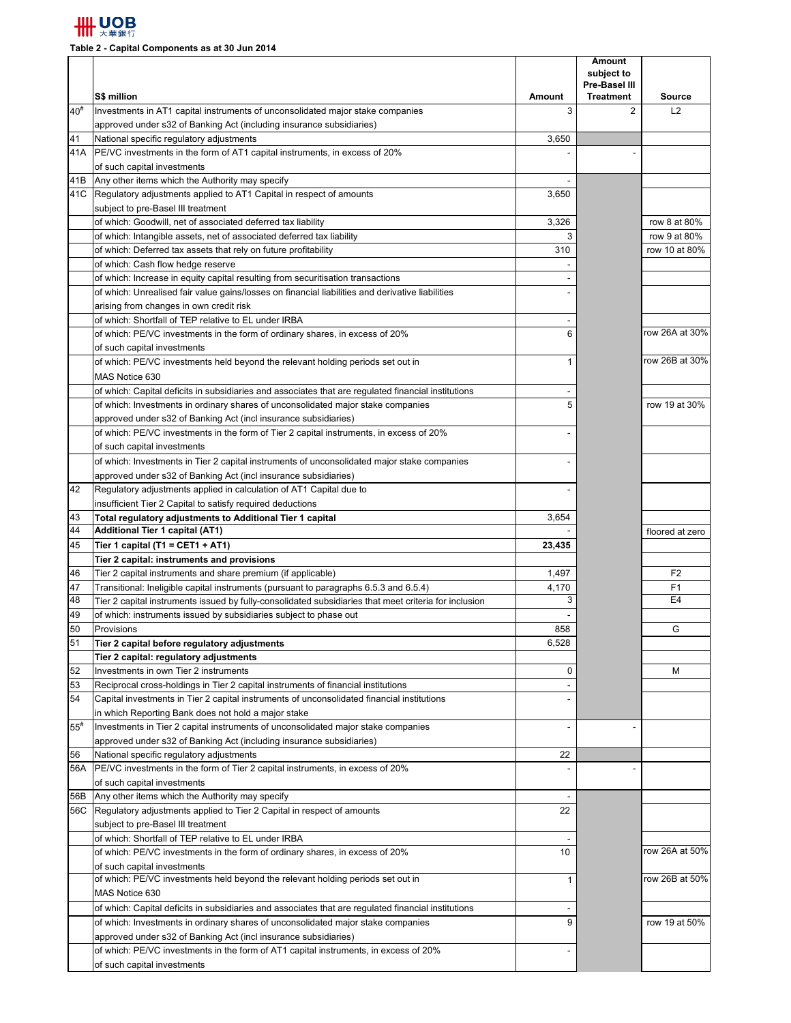

**Table 2 - Capital Components as at 30 Jun 2014**

|          | S\$ million                                                                                                                            | <b>Amount</b> | <b>Amount</b><br>subject to<br>Pre-Basel III |                     |
|----------|----------------------------------------------------------------------------------------------------------------------------------------|---------------|----------------------------------------------|---------------------|
| $40^{#}$ | Investments in AT1 capital instruments of unconsolidated major stake companies                                                         | 3             | <b>Treatment</b><br>$\overline{2}$           | <b>Source</b><br>L2 |
|          | approved under s32 of Banking Act (including insurance subsidiaries)                                                                   |               |                                              |                     |
| 41       | National specific regulatory adjustments                                                                                               | 3,650         |                                              |                     |
| 41A      | PE/VC investments in the form of AT1 capital instruments, in excess of 20%                                                             |               |                                              |                     |
|          | of such capital investments                                                                                                            |               |                                              |                     |
| 41B      | Any other items which the Authority may specify                                                                                        |               |                                              |                     |
|          | 41C   Regulatory adjustments applied to AT1 Capital in respect of amounts                                                              | 3,650         |                                              |                     |
|          | subject to pre-Basel III treatment                                                                                                     |               |                                              |                     |
|          | of which: Goodwill, net of associated deferred tax liability                                                                           | 3,326         |                                              | row 8 at 80%        |
|          | of which: Intangible assets, net of associated deferred tax liability                                                                  | 3             |                                              | row 9 at 80%        |
|          | of which: Deferred tax assets that rely on future profitability                                                                        | 310           |                                              | row 10 at 80%       |
|          | of which: Cash flow hedge reserve                                                                                                      |               |                                              |                     |
|          | of which: Increase in equity capital resulting from securitisation transactions                                                        |               |                                              |                     |
|          | of which: Unrealised fair value gains/losses on financial liabilities and derivative liabilities                                       |               |                                              |                     |
|          | arising from changes in own credit risk                                                                                                |               |                                              |                     |
|          | of which: Shortfall of TEP relative to EL under IRBA                                                                                   |               |                                              |                     |
|          | of which: PE/VC investments in the form of ordinary shares, in excess of 20%                                                           | 6             |                                              | row 26A at 30%      |
|          | of such capital investments                                                                                                            |               |                                              |                     |
|          | of which: PE/VC investments held beyond the relevant holding periods set out in                                                        | 1             |                                              | row 26B at 30%      |
|          | MAS Notice 630                                                                                                                         |               |                                              |                     |
|          | of which: Capital deficits in subsidiaries and associates that are regulated financial institutions                                    |               |                                              |                     |
|          | of which: Investments in ordinary shares of unconsolidated major stake companies                                                       | 5             |                                              | row 19 at 30%       |
|          | approved under s32 of Banking Act (incl insurance subsidiaries)                                                                        |               |                                              |                     |
|          | of which: PE/VC investments in the form of Tier 2 capital instruments, in excess of 20%                                                |               |                                              |                     |
|          | of such capital investments                                                                                                            |               |                                              |                     |
|          | of which: Investments in Tier 2 capital instruments of unconsolidated major stake companies                                            |               |                                              |                     |
| 42       | approved under s32 of Banking Act (incl insurance subsidiaries)<br>Regulatory adjustments applied in calculation of AT1 Capital due to |               |                                              |                     |
|          | insufficient Tier 2 Capital to satisfy required deductions                                                                             |               |                                              |                     |
| 43       | Total regulatory adjustments to Additional Tier 1 capital                                                                              | 3,654         |                                              |                     |
| 44       | Additional Tier 1 capital (AT1)                                                                                                        |               |                                              | floored at zero     |
| 45       | Tier 1 capital (T1 = CET1 + AT1)                                                                                                       | 23,435        |                                              |                     |
|          | Tier 2 capital: instruments and provisions                                                                                             |               |                                              |                     |
| 46       | Tier 2 capital instruments and share premium (if applicable)                                                                           | 1,497         |                                              | F <sub>2</sub>      |
| 47       | Transitional: Ineligible capital instruments (pursuant to paragraphs 6.5.3 and 6.5.4)                                                  | 4,170         |                                              | F1                  |
| 48       | Tier 2 capital instruments issued by fully-consolidated subsidiaries that meet criteria for inclusion                                  | 3             |                                              | E <sub>4</sub>      |
| 49       | of which: instruments issued by subsidiaries subject to phase out                                                                      |               |                                              |                     |
| 50       | Provisions                                                                                                                             | 858           |                                              | G                   |
| 51       | Tier 2 capital before regulatory adjustments                                                                                           | 6,528         |                                              |                     |
|          | Tier 2 capital: regulatory adjustments                                                                                                 |               |                                              |                     |
| 52       | Investments in own Tier 2 instruments                                                                                                  | 0             |                                              | М                   |
| 53       | Reciprocal cross-holdings in Tier 2 capital instruments of financial institutions                                                      |               |                                              |                     |
| 54       | Capital investments in Tier 2 capital instruments of unconsolidated financial institutions                                             |               |                                              |                     |
|          | in which Reporting Bank does not hold a major stake                                                                                    |               |                                              |                     |
| $55^{#}$ | Investments in Tier 2 capital instruments of unconsolidated major stake companies                                                      |               |                                              |                     |
|          | approved under s32 of Banking Act (including insurance subsidiaries)                                                                   |               |                                              |                     |
| 56       | National specific regulatory adjustments                                                                                               | 22            |                                              |                     |
| 56A      | PE/VC investments in the form of Tier 2 capital instruments, in excess of 20%                                                          |               |                                              |                     |
|          | of such capital investments                                                                                                            |               |                                              |                     |
| 56B      | Any other items which the Authority may specify                                                                                        |               |                                              |                     |
|          | 56C Regulatory adjustments applied to Tier 2 Capital in respect of amounts                                                             | 22            |                                              |                     |
|          | subject to pre-Basel III treatment                                                                                                     |               |                                              |                     |
|          | of which: Shortfall of TEP relative to EL under IRBA                                                                                   |               |                                              | row 26A at 50%      |
|          | of which: PE/VC investments in the form of ordinary shares, in excess of 20%<br>of such capital investments                            | 10            |                                              |                     |
|          | of which: PE/VC investments held beyond the relevant holding periods set out in                                                        | 1             |                                              | row 26B at 50%      |
|          | MAS Notice 630                                                                                                                         |               |                                              |                     |
|          | of which: Capital deficits in subsidiaries and associates that are regulated financial institutions                                    |               |                                              |                     |
|          | of which: Investments in ordinary shares of unconsolidated major stake companies                                                       | 9             |                                              | row 19 at 50%       |
|          | approved under s32 of Banking Act (incl insurance subsidiaries)                                                                        |               |                                              |                     |
|          | of which: PE/VC investments in the form of AT1 capital instruments, in excess of 20%                                                   |               |                                              |                     |
|          | of such capital investments                                                                                                            |               |                                              |                     |